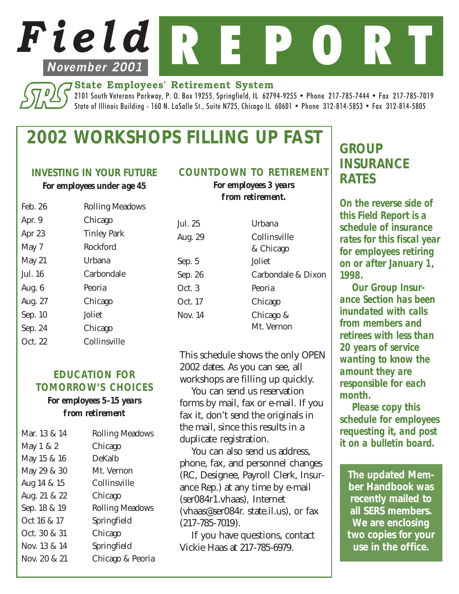# *Field* R E P **November 2001**

#### **State Employees' Retirement System**

2101 South Veterans Parkway, P. O. Box 19255, Springfield, IL 62794-9255 • Phone 217-785-7444 • Fax 217-785-7019 State of Illinois Building - 160 N. LaSalle St., Suite N725, Chicago IL 60601 • Phone 312-814-5853 • Fax 312-814-5805

# *2002 WORKSHOPS FILLING UP FAST*

#### *INVESTING IN YOUR FUTURE*

*For employees under age 45*

| Feb. 26  | <b>Rolling Meadows</b> |  |  |
|----------|------------------------|--|--|
| Apr. 9   | Chicago                |  |  |
| Apr 23   | <b>Tinley Park</b>     |  |  |
| May 7    | Rockford               |  |  |
| May $21$ | Urbana                 |  |  |
| Jul. 16  | Carbondale             |  |  |
| Aug. $6$ | Peoria                 |  |  |
| Aug. 27  | Chicago                |  |  |
| Sep. 10  | Joliet                 |  |  |
| Sep. 24  | Chicago                |  |  |
| Oct. 22  | Collinsville           |  |  |
|          |                        |  |  |

#### *EDUCATION FOR TOMORROW'S CHOICES*

#### *For employees 5–15 years from retirement*

| <b>Rolling Meadows</b> |
|------------------------|
| Chicago                |
| DeKalb                 |
| Mt. Vernon             |
| Collinsville           |
| Chicago                |
| <b>Rolling Meadows</b> |
| Springfield            |
| Chicago                |
| Springfield            |
| Chicago & Peoria       |
|                        |

### *COUNTDOWN TO RETIREMENT*

*For employees 3 years from retirement.*

| Jul. 25 | Urbana             |  |
|---------|--------------------|--|
| Aug. 29 | Collinsville       |  |
|         | & Chicago          |  |
| Sep. 5  | Joliet             |  |
| Sep. 26 | Carbondale & Dixon |  |
| Oct. 3  | Peoria             |  |
| Oct. 17 | Chicago            |  |
| Nov. 14 | Chicago &          |  |
|         | Mt. Vernon         |  |

This schedule shows the only OPEN 2002 dates. As you can see, all workshops are filling up quickly.

You can send us reservation forms by mail, fax or e-mail. If you fax it, don't send the originals in the mail, since this results in a duplicate registration.

You can also send us address, phone, fax, and personnel changes (RC, Designee, Payroll Clerk, Insurance Rep.) at any time by e-mail (ser084r1.vhaas), Internet (vhaas@ser084r. state.il.us), or fax (217-785-7019).

If you have questions, contact Vickie Haas at 217-785-6979.

# *GROUP INSURANCE RATES*

*On the reverse side of this Field Report is a schedule of insurance rates for this fiscal year for employees retiring on or after January 1, 1998.*

*Our Group Insurance Section has been inundated with calls from members and retirees with less than 20 years of service wanting to know the amount they are responsible for each month.*

*Please copy this schedule for employees requesting it, and post it on a bulletin board.*

*The updated Member Handbook was recently mailed to all SERS members. We are enclosing two copies for your use in the office.*